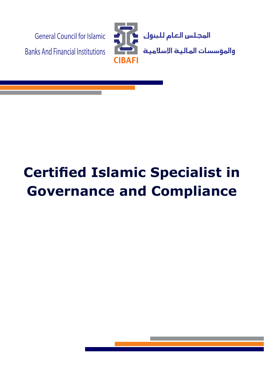

# **Certified Islamic Specialist in Governance and Compliance**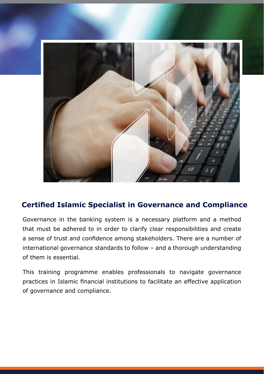

## **Certified Islamic Specialist in Governance and Compliance**

Governance in the banking system is a necessary platform and a method that must be adhered to in order to clarify clear responsibilities and create a sense of trust and confidence among stakeholders. There are a number of international governance standards to follow  $-$  and a thorough understanding of them is essential.

This training programme enables professionals to navigate governance practices in Islamic financial institutions to facilitate an effective application of governance and compliance.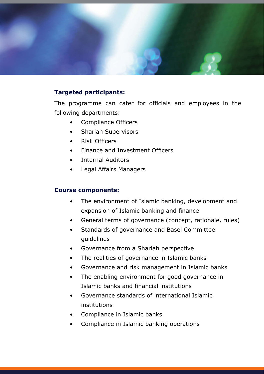

#### **Targeted participants:**

The programme can cater for officials and employees in the following departments:

- Compliance Officers
- Shariah Supervisors
- Risk Officers
- Finance and Investment Officers
- Internal Auditors
- Legal Affairs Managers

#### **Course components:**

- The environment of Islamic banking, development and expansion of Islamic banking and finance
- General terms of governance (concept, rationale, rules)
- Standards of governance and Basel Committee guidelines
- Governance from a Shariah perspective
- The realities of governance in Islamic banks
- Governance and risk management in Islamic banks
- The enabling environment for good governance in Islamic banks and financial institutions
- Governance standards of international Islamic institutions
- Compliance in Islamic banks
- Compliance in Islamic banking operations